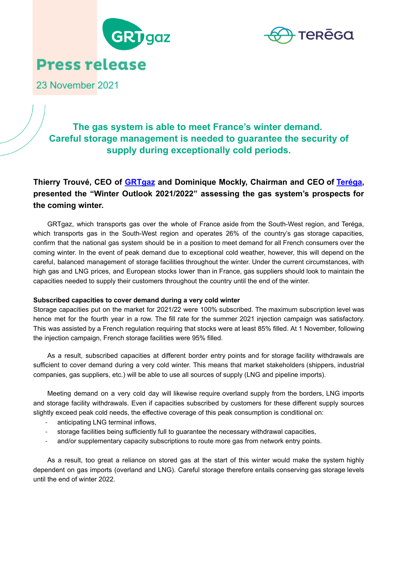



23 November 2021

# **The gas system is able to meet France's winter demand. Careful storage management is needed to guarantee the security of supply during exceptionally cold periods.**

# **Thierry Trouvé, CEO of [GRTgaz](http://www.grtgaz.com/nc/page-daccueil.html) and Dominique Mockly, Chairman and CEO of [Teréga](https://www.terega.fr/#la-marque), presented the "Winter Outlook 2021/2022" assessing the gas system's prospects for the coming winter.**

GRTgaz, which transports gas over the whole of France aside from the South-West region, and Teréga, which transports gas in the South-West region and operates 26% of the country's gas storage capacities, confirm that the national gas system should be in a position to meet demand for all French consumers over the coming winter. In the event of peak demand due to exceptional cold weather, however, this will depend on the careful, balanced management of storage facilities throughout the winter. Under the current circumstances, with high gas and LNG prices, and European stocks lower than in France, gas suppliers should look to maintain the capacities needed to supply their customers throughout the country until the end of the winter.

## **Subscribed capacities to cover demand during a very cold winter**

Storage capacities put on the market for 2021/22 were 100% subscribed. The maximum subscription level was hence met for the fourth year in a row. The fill rate for the summer 2021 injection campaign was satisfactory. This was assisted by a French regulation requiring that stocks were at least 85% filled. At 1 November, following the injection campaign, French storage facilities were 95% filled.

As a result, subscribed capacities at different border entry points and for storage facility withdrawals are sufficient to cover demand during a very cold winter. This means that market stakeholders (shippers, industrial companies, gas suppliers, etc.) will be able to use all sources of supply (LNG and pipeline imports).

Meeting demand on a very cold day will likewise require overland supply from the borders, LNG imports and storage facility withdrawals. Even if capacities subscribed by customers for these different supply sources slightly exceed peak cold needs, the effective coverage of this peak consumption is conditional on:

- anticipating LNG terminal inflows,
- storage facilities being sufficiently full to guarantee the necessary withdrawal capacities,
- and/or supplementary capacity subscriptions to route more gas from network entry points.

As a result, too great a reliance on stored gas at the start of this winter would make the system highly dependent on gas imports (overland and LNG). Careful storage therefore entails conserving gas storage levels until the end of winter 2022.